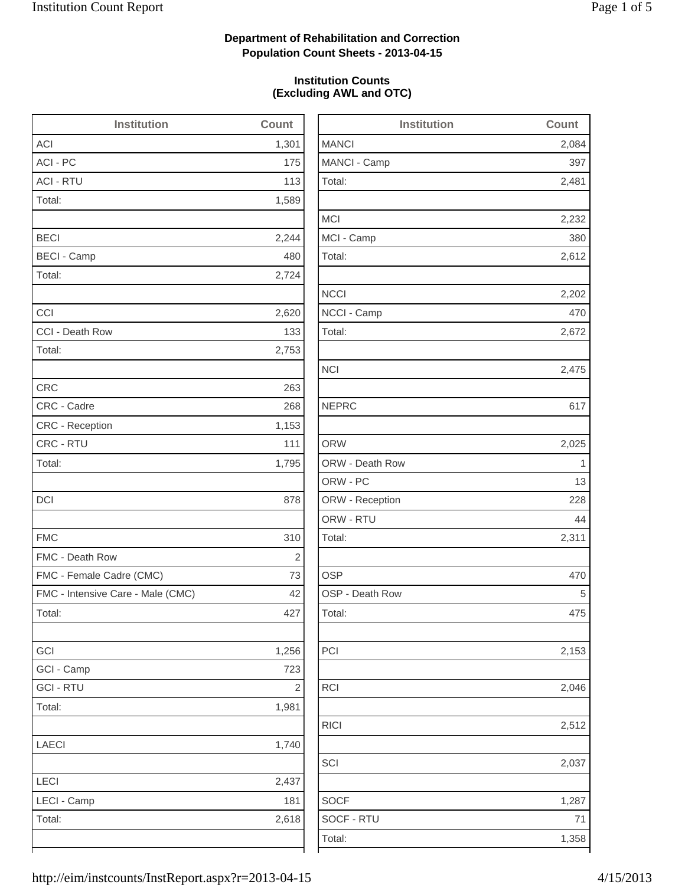2,084

2,481

2,232

2,612

2,202

2,672

2,475

2,025

Total: 2,311

2,153

2,046

2,512

2,037

1,358

## **Department of Rehabilitation and Correction Population Count Sheets - 2013-04-15**

### **Institution Counts (Excluding AWL and OTC)**

| <b>Institution</b>                | Count          | Institution     | Count        |
|-----------------------------------|----------------|-----------------|--------------|
| <b>ACI</b>                        | 1,301          | <b>MANCI</b>    | 2,084        |
| ACI - PC                          | 175            | MANCI - Camp    | 397          |
| <b>ACI - RTU</b>                  | 113            | Total:          | 2,481        |
| Total:                            | 1,589          |                 |              |
|                                   |                | <b>MCI</b>      | 2,232        |
| <b>BECI</b>                       | 2,244          | MCI - Camp      | 380          |
| <b>BECI - Camp</b>                | 480            | Total:          | 2,612        |
| Total:                            | 2,724          |                 |              |
|                                   |                | <b>NCCI</b>     | 2,202        |
| CCI                               | 2,620          | NCCI - Camp     | 470          |
| CCI - Death Row                   | 133            | Total:          | 2,672        |
| Total:                            | 2,753          |                 |              |
|                                   |                | <b>NCI</b>      | 2,475        |
| <b>CRC</b>                        | 263            |                 |              |
| CRC - Cadre                       | 268            | <b>NEPRC</b>    | 617          |
| CRC - Reception                   | 1,153          |                 |              |
| CRC - RTU                         | 111            | <b>ORW</b>      | 2,025        |
| Total:                            | 1,795          | ORW - Death Row | $\mathbf{1}$ |
|                                   |                | ORW - PC        | 13           |
| DCI                               | 878            | ORW - Reception | 228          |
|                                   |                | ORW - RTU       | 44           |
| <b>FMC</b>                        | 310            | Total:          | 2,311        |
| FMC - Death Row                   | $\overline{2}$ |                 |              |
| FMC - Female Cadre (CMC)          | 73             | <b>OSP</b>      | 470          |
| FMC - Intensive Care - Male (CMC) | 42             | OSP - Death Row | 5            |
| Total:                            | 427            | Total:          | 475          |
| GCI                               | 1,256          | PCI             | 2,153        |
| GCI - Camp                        | 723            |                 |              |
| <b>GCI - RTU</b>                  | $\sqrt{2}$     | RCI             | 2,046        |
| Total:                            | 1,981          |                 |              |
|                                   |                | <b>RICI</b>     | 2,512        |
| LAECI                             | 1,740          |                 |              |
|                                   |                | SCI             | 2,037        |
| LECI                              | 2,437          |                 |              |
| LECI - Camp                       | 181            | <b>SOCF</b>     | 1,287        |
| Total:                            | 2,618          | SOCF - RTU      | 71           |
|                                   |                | Total:          | 1,358        |
|                                   |                |                 |              |

| 5/2013 |  |
|--------|--|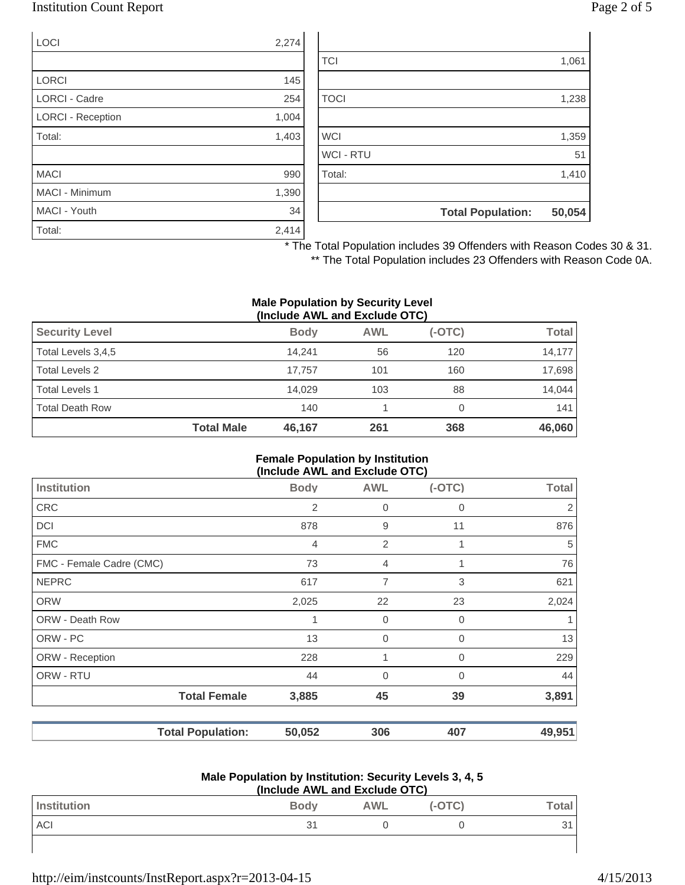## Institution Count Report Page 2 of 5

| <b>LOCI</b>              | 2,274 |
|--------------------------|-------|
|                          |       |
| <b>LORCI</b>             | 145   |
| <b>LORCI - Cadre</b>     | 254   |
| <b>LORCI - Reception</b> | 1,004 |
| Total:                   | 1,403 |
|                          |       |
| <b>MACI</b>              | 990   |
| MACI - Minimum           | 1,390 |
| MACI - Youth             | 34    |
| Total:                   | 2,414 |

| 51<br>1,410 |
|-------------|
|             |
|             |
|             |
| 1,359       |
|             |
| 1,238       |
|             |
| 1,061       |
|             |

\* The Total Population includes 39 Offenders with Reason Codes 30 & 31.

\*\* The Total Population includes 23 Offenders with Reason Code 0A.

#### **Male Population by Security Level (Include AWL and Exclude OTC)**

|                        |                   | $\mathbf{u}$ |            |          |              |
|------------------------|-------------------|--------------|------------|----------|--------------|
| <b>Security Level</b>  |                   | <b>Body</b>  | <b>AWL</b> | $(-OTC)$ | <b>Total</b> |
| Total Levels 3,4,5     |                   | 14.241       | 56         | 120      | 14,177       |
| Total Levels 2         |                   | 17.757       | 101        | 160      | 17,698       |
| <b>Total Levels 1</b>  |                   | 14.029       | 103        | 88       | 14,044       |
| <b>Total Death Row</b> |                   | 140          |            |          | 141          |
|                        | <b>Total Male</b> | 46,167       | 261        | 368      | 46,060       |

#### **Female Population by Institution (Include AWL and Exclude OTC)**

| <b>Body</b>                        | <b>AWL</b>     | $(-OTC)$    | <b>Total</b> |
|------------------------------------|----------------|-------------|--------------|
| 2                                  | $\mathbf 0$    | 0           | 2            |
| 878                                | 9              | 11          | 876          |
| 4                                  | $\overline{2}$ |             | 5            |
| 73                                 | $\overline{4}$ | 1           | 76           |
| 617                                | $\overline{7}$ | 3           | 621          |
| 2,025                              | 22             | 23          | 2,024        |
| 1                                  | $\mathbf 0$    | $\mathbf 0$ |              |
| 13                                 | $\mathbf 0$    | $\Omega$    | 13           |
| 228                                | 1              | 0           | 229          |
| 44                                 | $\mathbf 0$    | $\Omega$    | 44           |
| <b>Total Female</b><br>3,885       | 45             | 39          | 3,891        |
| <b>Total Population:</b><br>50,052 | 306            | 407         | 49,951       |
|                                    |                |             |              |

#### **Male Population by Institution: Security Levels 3, 4, 5 (Include AWL and Exclude OTC)**

| (include AVVL and Exclude OTC) |             |            |          |       |
|--------------------------------|-------------|------------|----------|-------|
| Institution                    | <b>Body</b> | <b>AWL</b> | $(-OTC)$ | ™otal |
| ACI                            | 31          |            |          |       |
|                                |             |            |          |       |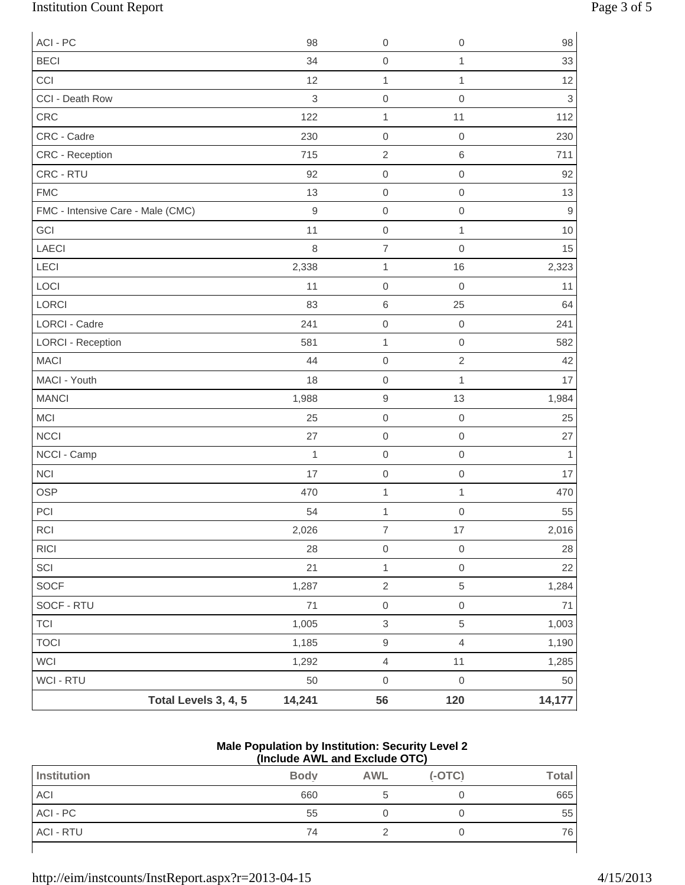# Institution Count Report Page 3 of 5

| ACI - PC                          |                      | 98             | $\boldsymbol{0}$          | $\mathbf 0$         | 98           |
|-----------------------------------|----------------------|----------------|---------------------------|---------------------|--------------|
| <b>BECI</b>                       |                      | 34             | $\,0\,$                   | 1                   | 33           |
| CCI                               |                      | 12             | $\mathbf 1$               | 1                   | 12           |
| CCI - Death Row                   |                      | $\mathfrak{B}$ | $\mathbf 0$               | $\mathsf{O}\xspace$ | $\mathbf{3}$ |
| CRC                               |                      | 122            | $\mathbf{1}$              | 11                  | 112          |
| CRC - Cadre                       |                      | 230            | $\boldsymbol{0}$          | $\boldsymbol{0}$    | 230          |
| CRC - Reception                   |                      | 715            | $\sqrt{2}$                | $\,6\,$             | 711          |
| CRC - RTU                         |                      | 92             | $\mathsf{O}\xspace$       | $\mathbf 0$         | 92           |
| <b>FMC</b>                        |                      | 13             | $\mathbf 0$               | $\mathbf 0$         | 13           |
| FMC - Intensive Care - Male (CMC) |                      | $9$            | $\mathbf 0$               | $\mathbf 0$         | $\mathsf g$  |
| GCI                               |                      | 11             | $\boldsymbol{0}$          | $\mathbf 1$         | 10           |
| <b>LAECI</b>                      |                      | 8              | $\boldsymbol{7}$          | $\mathbf 0$         | 15           |
| LECI                              |                      | 2,338          | $\mathbf{1}$              | 16                  | 2,323        |
| LOCI                              |                      | 11             | $\mathbf 0$               | $\mathbf 0$         | 11           |
| <b>LORCI</b>                      |                      | 83             | $\,6$                     | 25                  | 64           |
| <b>LORCI - Cadre</b>              |                      | 241            | $\boldsymbol{0}$          | $\mathbf 0$         | 241          |
| <b>LORCI - Reception</b>          |                      | 581            | $\mathbf{1}$              | $\mathbf 0$         | 582          |
| <b>MACI</b>                       |                      | 44             | $\mbox{O}$                | $\sqrt{2}$          | 42           |
| MACI - Youth                      |                      | 18             | $\mathbf 0$               | $\mathbf{1}$        | 17           |
| <b>MANCI</b>                      |                      | 1,988          | $\hbox{9}$                | 13                  | 1,984        |
| <b>MCI</b>                        |                      | 25             | $\boldsymbol{0}$          | $\boldsymbol{0}$    | 25           |
| <b>NCCI</b>                       |                      | 27             | $\,0\,$                   | $\mbox{O}$          | 27           |
| NCCI - Camp                       |                      | 1              | $\mbox{O}$                | $\mathbf 0$         | 1            |
| <b>NCI</b>                        |                      | 17             | $\mathbf 0$               | $\boldsymbol{0}$    | 17           |
| <b>OSP</b>                        |                      | 470            | $\mathbf{1}$              | 1                   | 470          |
| PCI                               |                      | 54             | $\mathbf 1$               | $\mathbf 0$         | 55           |
| $\sf RCI$                         |                      | 2,026          | $\overline{7}$            | $17\,$              | 2,016        |
| RICI                              |                      | 28             | $\mathbf 0$               | $\boldsymbol{0}$    | 28           |
| SCI                               |                      | 21             | $\mathbf{1}$              | $\mathbf 0$         | 22           |
| SOCF                              |                      | 1,287          | $\sqrt{2}$                | $\,$ 5 $\,$         | 1,284        |
| SOCF - RTU                        |                      | 71             | $\mathsf{O}\xspace$       | $\,0\,$             | $71$         |
| <b>TCI</b>                        |                      | 1,005          | $\ensuremath{\mathsf{3}}$ | $\sqrt{5}$          | 1,003        |
| <b>TOCI</b>                       |                      | 1,185          | $\hbox{9}$                | $\overline{4}$      | 1,190        |
| WCI                               |                      | 1,292          | $\overline{4}$            | 11                  | 1,285        |
| WCI - RTU                         |                      | 50             | $\mathbf 0$               | $\,0\,$             | 50           |
|                                   | Total Levels 3, 4, 5 | 14,241         | 56                        | 120                 | 14,177       |

### **Male Population by Institution: Security Level 2 (Include AWL and Exclude OTC)**

|                  | .           |            |          |              |
|------------------|-------------|------------|----------|--------------|
| Institution      | <b>Body</b> | <b>AWL</b> | $(-OTC)$ | <b>Total</b> |
| ACI              | 660         |            |          | 665          |
| ACI - PC         | 55          |            |          | 55           |
| <b>ACI - RTU</b> | 74          |            |          | 76           |
|                  |             |            |          |              |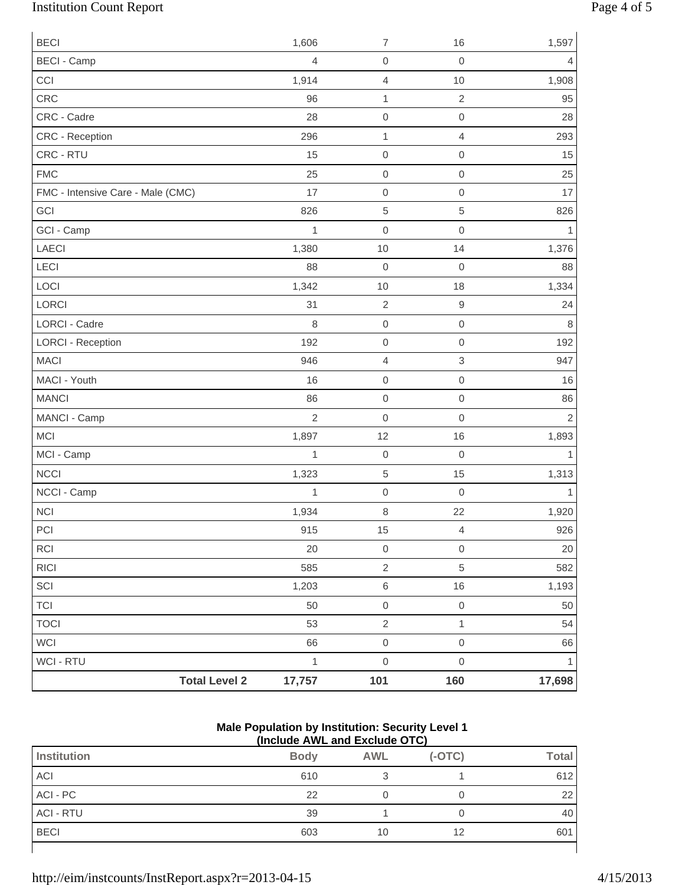# Institution Count Report Page 4 of 5

| <b>Total Level 2</b>              | 17,757         | 101                                        | 160                           | 17,698         |
|-----------------------------------|----------------|--------------------------------------------|-------------------------------|----------------|
| WCI - RTU                         | $\mathbf{1}$   | $\mathsf{O}\xspace$                        | $\mathbf 0$                   | 1              |
| <b>WCI</b>                        | 66             | $\mathsf{O}\xspace$                        | $\mbox{O}$                    | 66             |
| <b>TOCI</b>                       | 53             | $\overline{c}$                             | $\mathbf{1}$                  | 54             |
| <b>TCI</b>                        | 50             | $\mathsf{O}\xspace$                        | $\mathbf 0$                   | 50             |
| SCI                               | 1,203          | 6                                          | 16                            | 1,193          |
| RICI                              | 585            | $\overline{2}$                             | $\,$ 5 $\,$                   | 582            |
| RCI                               | 20             | $\mathsf 0$                                | $\mathbf 0$                   | 20             |
| PCI                               | 915            | 15                                         | $\overline{4}$                | 926            |
| <b>NCI</b>                        | 1,934          | 8                                          | 22                            | 1,920          |
| NCCI - Camp                       | 1              | $\boldsymbol{0}$                           | $\mathbf 0$                   | 1              |
| <b>NCCI</b>                       | 1,323          | 5                                          | 15                            | 1,313          |
| MCI - Camp                        | $\mathbf{1}$   | $\mathsf{O}\xspace$                        | $\mathbf 0$                   |                |
| <b>MCI</b>                        | 1,897          | 12                                         | 16                            | 1,893          |
| MANCI - Camp                      | $\overline{2}$ | $\mathsf{O}\xspace$                        | $\mathbf 0$                   | $\overline{2}$ |
| <b>MANCI</b>                      | 86             | $\boldsymbol{0}$                           | $\mathbf 0$                   | 86             |
| MACI - Youth                      | 16             | $\mathsf{O}\xspace$                        | $\mathbf 0$                   | 16             |
| <b>MACI</b>                       | 946            | $\overline{4}$                             | $\ensuremath{\mathsf{3}}$     | 947            |
| <b>LORCI - Reception</b>          | 192            | $\mathsf 0$                                | $\mathbf 0$                   | 192            |
| LORCI - Cadre                     | 8              | $\mathsf{O}\xspace$                        | $\mathbf 0$                   | 8              |
| LORCI                             | 31             | $\overline{2}$                             | $\boldsymbol{9}$              | 24             |
| LOCI                              | 1,342          | $10$                                       | 18                            | 1,334          |
| LECI                              | 88             | $\mathsf{O}\xspace$                        | $\mathbf 0$                   | 88             |
| LAECI                             | 1,380          | 10                                         | 14                            | 1,376          |
| GCI - Camp                        | $\mathbf{1}$   | $\mathsf{O}\xspace$                        | $\mathbf 0$                   | 1              |
| GCI                               | 826            | 5                                          | $\,$ 5 $\,$                   | 826            |
| FMC - Intensive Care - Male (CMC) | 25<br>17       | $\mathsf{O}\xspace$<br>$\mathsf{O}\xspace$ | $\mathbf 0$<br>$\mathbf 0$    | 25<br>17       |
| <b>FMC</b>                        |                | $\mathsf 0$                                |                               |                |
| CRC - Reception<br>CRC - RTU      | 296<br>15      | $\mathbf{1}$                               | $\overline{4}$<br>$\mathbf 0$ | 293<br>15      |
| CRC - Cadre                       | 28             | $\mathsf{O}\xspace$                        | $\mathbf 0$                   | 28             |
| CRC                               | 96             | $\mathbf 1$                                | $\sqrt{2}$                    | 95             |
| CCI                               | 1,914          | $\overline{4}$                             | 10                            | 1,908          |
| <b>BECI - Camp</b>                | $\overline{4}$ | $\mathsf 0$                                | $\mathbf 0$                   | 4              |
| <b>BECI</b>                       | 1,606          | $\overline{7}$                             | 16                            | 1,597          |
|                                   |                |                                            |                               |                |

#### **Male Population by Institution: Security Level 1 (Include AWL and Exclude OTC)**

| <b>Institution</b> | <b>Body</b> | <b>AWL</b> | $(-OTC)$ | <b>Total</b> |
|--------------------|-------------|------------|----------|--------------|
| ACI                | 610         |            |          | 612          |
| ACI - PC           | 22          |            |          | 22           |
| <b>ACI - RTU</b>   | 39          |            |          | 40           |
| <b>BECI</b>        | 603         | 10         | 12       | 601          |
|                    |             |            |          |              |